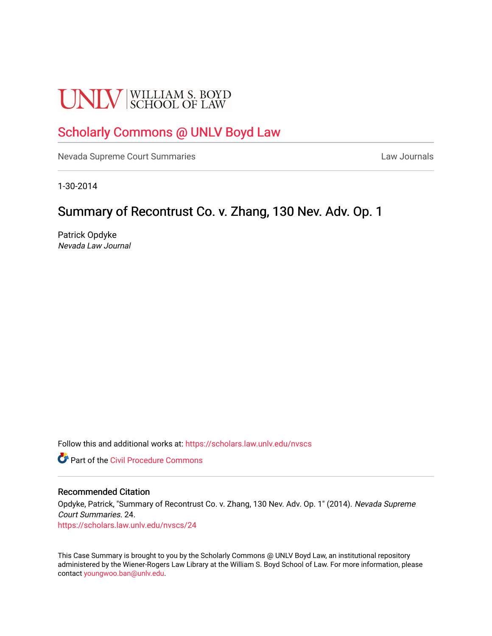# **UNLV** SCHOOL OF LAW

# [Scholarly Commons @ UNLV Boyd Law](https://scholars.law.unlv.edu/)

[Nevada Supreme Court Summaries](https://scholars.law.unlv.edu/nvscs) **Law Journals** Law Journals

1-30-2014

# Summary of Recontrust Co. v. Zhang, 130 Nev. Adv. Op. 1

Patrick Opdyke Nevada Law Journal

Follow this and additional works at: [https://scholars.law.unlv.edu/nvscs](https://scholars.law.unlv.edu/nvscs?utm_source=scholars.law.unlv.edu%2Fnvscs%2F24&utm_medium=PDF&utm_campaign=PDFCoverPages)

**C** Part of the Civil Procedure Commons

#### Recommended Citation

Opdyke, Patrick, "Summary of Recontrust Co. v. Zhang, 130 Nev. Adv. Op. 1" (2014). Nevada Supreme Court Summaries. 24. [https://scholars.law.unlv.edu/nvscs/24](https://scholars.law.unlv.edu/nvscs/24?utm_source=scholars.law.unlv.edu%2Fnvscs%2F24&utm_medium=PDF&utm_campaign=PDFCoverPages) 

This Case Summary is brought to you by the Scholarly Commons @ UNLV Boyd Law, an institutional repository administered by the Wiener-Rogers Law Library at the William S. Boyd School of Law. For more information, please contact [youngwoo.ban@unlv.edu](mailto:youngwoo.ban@unlv.edu).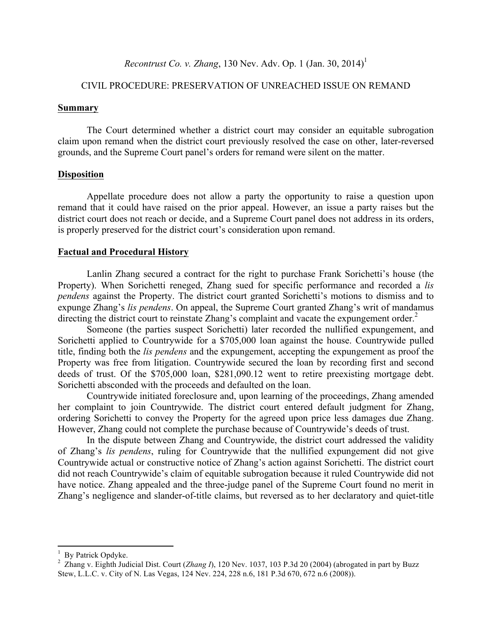# *Recontrust Co. v. Zhang*, 130 Nev. Adv. Op. 1 (Jan. 30, 2014) 1

## CIVIL PROCEDURE: PRESERVATION OF UNREACHED ISSUE ON REMAND

#### **Summary**

The Court determined whether a district court may consider an equitable subrogation claim upon remand when the district court previously resolved the case on other, later-reversed grounds, and the Supreme Court panel's orders for remand were silent on the matter.

#### **Disposition**

Appellate procedure does not allow a party the opportunity to raise a question upon remand that it could have raised on the prior appeal. However, an issue a party raises but the district court does not reach or decide, and a Supreme Court panel does not address in its orders, is properly preserved for the district court's consideration upon remand.

## **Factual and Procedural History**

Lanlin Zhang secured a contract for the right to purchase Frank Sorichetti's house (the Property). When Sorichetti reneged, Zhang sued for specific performance and recorded a *lis pendens* against the Property. The district court granted Sorichetti's motions to dismiss and to expunge Zhang's *lis pendens*. On appeal, the Supreme Court granted Zhang's writ of mandamus directing the district court to reinstate Zhang's complaint and vacate the expungement order. $<sup>2</sup>$ </sup>

Someone (the parties suspect Sorichetti) later recorded the nullified expungement, and Sorichetti applied to Countrywide for a \$705,000 loan against the house. Countrywide pulled title, finding both the *lis pendens* and the expungement, accepting the expungement as proof the Property was free from litigation. Countrywide secured the loan by recording first and second deeds of trust. Of the \$705,000 loan, \$281,090.12 went to retire preexisting mortgage debt. Sorichetti absconded with the proceeds and defaulted on the loan.

Countrywide initiated foreclosure and, upon learning of the proceedings, Zhang amended her complaint to join Countrywide. The district court entered default judgment for Zhang, ordering Sorichetti to convey the Property for the agreed upon price less damages due Zhang. However, Zhang could not complete the purchase because of Countrywide's deeds of trust.

In the dispute between Zhang and Countrywide, the district court addressed the validity of Zhang's *lis pendens*, ruling for Countrywide that the nullified expungement did not give Countrywide actual or constructive notice of Zhang's action against Sorichetti. The district court did not reach Countrywide's claim of equitable subrogation because it ruled Countrywide did not have notice. Zhang appealed and the three-judge panel of the Supreme Court found no merit in Zhang's negligence and slander-of-title claims, but reversed as to her declaratory and quiet-title

 

 $\frac{1}{2}$  By Patrick Opdyke.

<sup>&</sup>lt;sup>2</sup> Zhang v. Eighth Judicial Dist. Court (*Zhang I*), 120 Nev. 1037, 103 P.3d 20 (2004) (abrogated in part by Buzz Stew, L.L.C. v. City of N. Las Vegas, 124 Nev. 224, 228 n.6, 181 P.3d 670, 672 n.6 (2008)).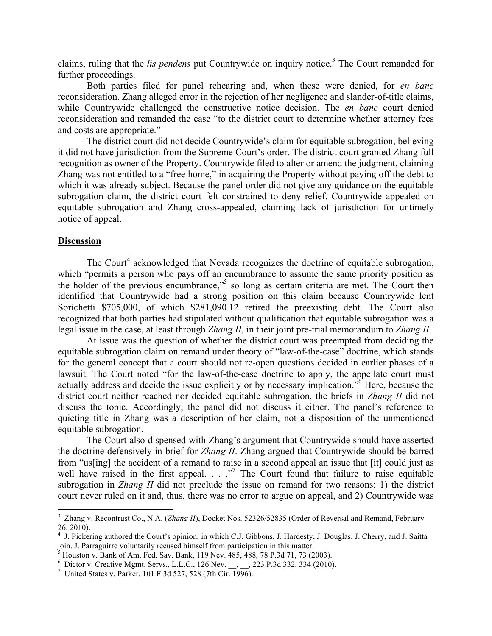claims, ruling that the *lis pendens* put Countrywide on inquiry notice.<sup>3</sup> The Court remanded for further proceedings.

Both parties filed for panel rehearing and, when these were denied, for *en banc* reconsideration. Zhang alleged error in the rejection of her negligence and slander-of-title claims, while Countrywide challenged the constructive notice decision. The *en banc* court denied reconsideration and remanded the case "to the district court to determine whether attorney fees and costs are appropriate."

The district court did not decide Countrywide's claim for equitable subrogation, believing it did not have jurisdiction from the Supreme Court's order. The district court granted Zhang full recognition as owner of the Property. Countrywide filed to alter or amend the judgment, claiming Zhang was not entitled to a "free home," in acquiring the Property without paying off the debt to which it was already subject. Because the panel order did not give any guidance on the equitable subrogation claim, the district court felt constrained to deny relief. Countrywide appealed on equitable subrogation and Zhang cross-appealed, claiming lack of jurisdiction for untimely notice of appeal.

#### **Discussion**

The Court<sup>4</sup> acknowledged that Nevada recognizes the doctrine of equitable subrogation, which "permits a person who pays off an encumbrance to assume the same priority position as the holder of the previous encumbrance,"<sup>5</sup> so long as certain criteria are met. The Court then identified that Countrywide had a strong position on this claim because Countrywide lent Sorichetti \$705,000, of which \$281,090.12 retired the preexisting debt. The Court also recognized that both parties had stipulated without qualification that equitable subrogation was a legal issue in the case, at least through *Zhang II*, in their joint pre-trial memorandum to *Zhang II*.

At issue was the question of whether the district court was preempted from deciding the equitable subrogation claim on remand under theory of "law-of-the-case" doctrine, which stands for the general concept that a court should not re-open questions decided in earlier phases of a lawsuit. The Court noted "for the law-of-the-case doctrine to apply, the appellate court must actually address and decide the issue explicitly or by necessary implication."6 Here, because the district court neither reached nor decided equitable subrogation, the briefs in *Zhang II* did not discuss the topic. Accordingly, the panel did not discuss it either. The panel's reference to quieting title in Zhang was a description of her claim, not a disposition of the unmentioned equitable subrogation.

The Court also dispensed with Zhang's argument that Countrywide should have asserted the doctrine defensively in brief for *Zhang II*. Zhang argued that Countrywide should be barred from "us[ing] the accident of a remand to raise in a second appeal an issue that [it] could just as well have raised in the first appeal.  $\cdot$  ..."<sup>7</sup> The Court found that failure to raise equitable subrogation in *Zhang II* did not preclude the issue on remand for two reasons: 1) the district court never ruled on it and, thus, there was no error to argue on appeal, and 2) Countrywide was

<u> 1989 - Jan Stein Stein, fransk politiker (d. 1989)</u>

<sup>&</sup>lt;sup>3</sup> Zhang v. Recontrust Co., N.A. (*Zhang II*), Docket Nos. 52326/52835 (Order of Reversal and Remand, February 26, 2010).

<sup>&</sup>lt;sup>4</sup> J. Pickering authored the Court's opinion, in which C.J. Gibbons, J. Hardesty, J. Douglas, J. Cherry, and J. Saitta join. J. Parraguirre voluntarily recused himself from participation in this matter. <sup>5</sup> Houston v. Bank of Am. Fed. Sav. Bank, 119 Nev. 485, 488, 78 P.3d 71, 73 (2003).

<sup>&</sup>lt;sup>6</sup> Dictor v. Creative Mgmt. Servs., L.L.C., 126 Nev. \_\_, \_\_, 223 P.3d 332, 334 (2010).

<sup>&</sup>lt;sup>7</sup> United States v. Parker, 101 F.3d 527, 528 (7th Cir. 1996).